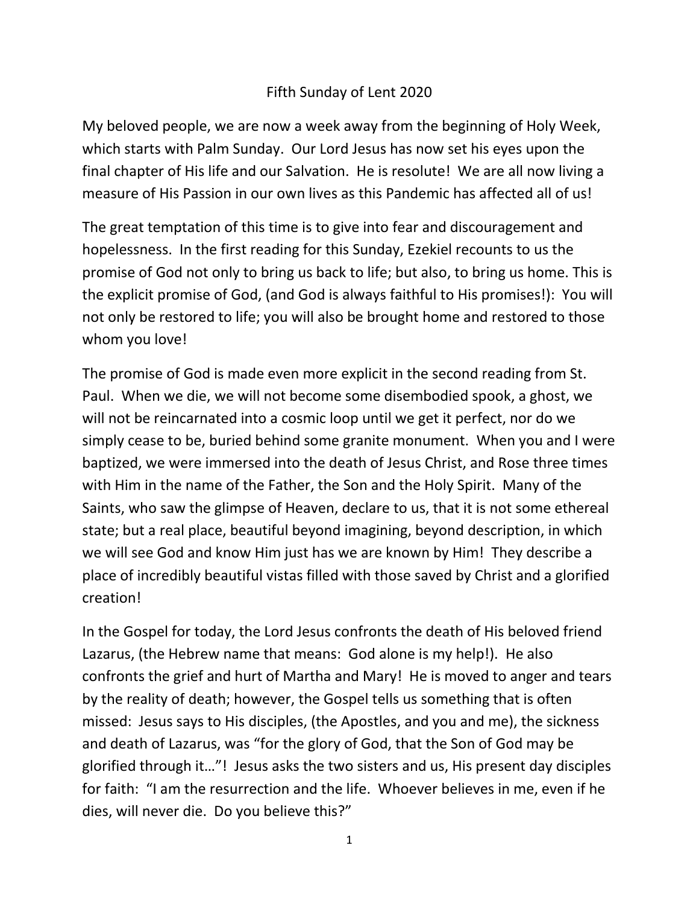## Fifth Sunday of Lent 2020

My beloved people, we are now a week away from the beginning of Holy Week, which starts with Palm Sunday. Our Lord Jesus has now set his eyes upon the final chapter of His life and our Salvation. He is resolute! We are all now living a measure of His Passion in our own lives as this Pandemic has affected all of us!

The great temptation of this time is to give into fear and discouragement and hopelessness. In the first reading for this Sunday, Ezekiel recounts to us the promise of God not only to bring us back to life; but also, to bring us home. This is the explicit promise of God, (and God is always faithful to His promises!): You will not only be restored to life; you will also be brought home and restored to those whom you love!

The promise of God is made even more explicit in the second reading from St. Paul. When we die, we will not become some disembodied spook, a ghost, we will not be reincarnated into a cosmic loop until we get it perfect, nor do we simply cease to be, buried behind some granite monument. When you and I were baptized, we were immersed into the death of Jesus Christ, and Rose three times with Him in the name of the Father, the Son and the Holy Spirit. Many of the Saints, who saw the glimpse of Heaven, declare to us, that it is not some ethereal state; but a real place, beautiful beyond imagining, beyond description, in which we will see God and know Him just has we are known by Him! They describe a place of incredibly beautiful vistas filled with those saved by Christ and a glorified creation!

In the Gospel for today, the Lord Jesus confronts the death of His beloved friend Lazarus, (the Hebrew name that means: God alone is my help!). He also confronts the grief and hurt of Martha and Mary! He is moved to anger and tears by the reality of death; however, the Gospel tells us something that is often missed: Jesus says to His disciples, (the Apostles, and you and me), the sickness and death of Lazarus, was "for the glory of God, that the Son of God may be glorified through it…"! Jesus asks the two sisters and us, His present day disciples for faith: "I am the resurrection and the life. Whoever believes in me, even if he dies, will never die. Do you believe this?"